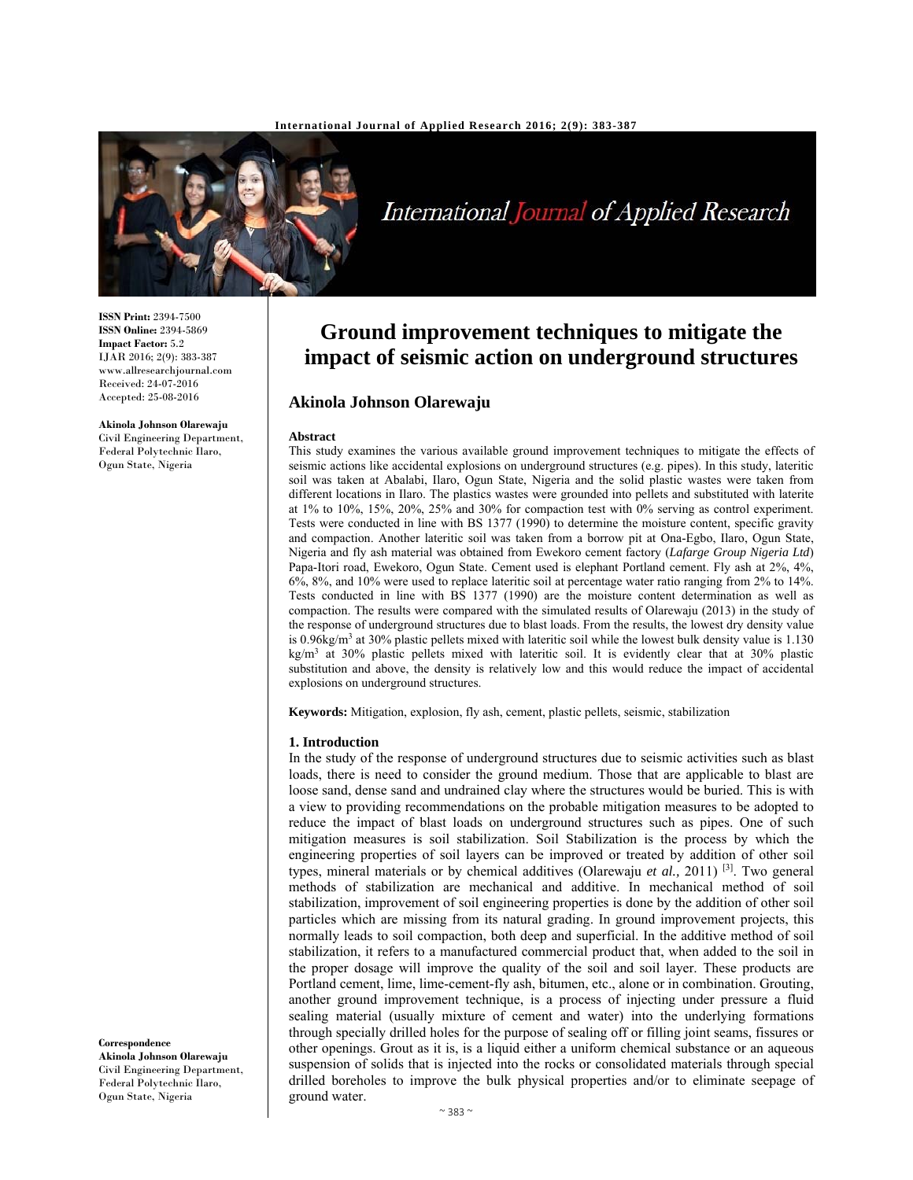

International Journal of Applied Research

# **Ground improvement techniques to mitigate the impact of seismic action on underground structures**

## **Akinola Johnson Olarewaju**

#### **Abstract**

This study examines the various available ground improvement techniques to mitigate the effects of seismic actions like accidental explosions on underground structures (e.g. pipes). In this study, lateritic soil was taken at Abalabi, Ilaro, Ogun State, Nigeria and the solid plastic wastes were taken from different locations in Ilaro. The plastics wastes were grounded into pellets and substituted with laterite at 1% to 10%, 15%, 20%, 25% and 30% for compaction test with 0% serving as control experiment. Tests were conducted in line with BS 1377 (1990) to determine the moisture content, specific gravity and compaction. Another lateritic soil was taken from a borrow pit at Ona-Egbo, Ilaro, Ogun State, Nigeria and fly ash material was obtained from Ewekoro cement factory (*Lafarge Group Nigeria Ltd*) Papa-Itori road, Ewekoro, Ogun State. Cement used is elephant Portland cement. Fly ash at 2%, 4%, 6%, 8%, and 10% were used to replace lateritic soil at percentage water ratio ranging from 2% to 14%. Tests conducted in line with BS 1377 (1990) are the moisture content determination as well as compaction. The results were compared with the simulated results of Olarewaju (2013) in the study of the response of underground structures due to blast loads. From the results, the lowest dry density value is 0.96kg/m<sup>3</sup> at 30% plastic pellets mixed with lateritic soil while the lowest bulk density value is  $1.130$ kg/m3 at 30% plastic pellets mixed with lateritic soil. It is evidently clear that at 30% plastic substitution and above, the density is relatively low and this would reduce the impact of accidental explosions on underground structures.

**Keywords:** Mitigation, explosion, fly ash, cement, plastic pellets, seismic, stabilization

#### **1. Introduction**

In the study of the response of underground structures due to seismic activities such as blast loads, there is need to consider the ground medium. Those that are applicable to blast are loose sand, dense sand and undrained clay where the structures would be buried. This is with a view to providing recommendations on the probable mitigation measures to be adopted to reduce the impact of blast loads on underground structures such as pipes. One of such mitigation measures is soil stabilization. Soil Stabilization is the process by which the engineering properties of soil layers can be improved or treated by addition of other soil types, mineral materials or by chemical additives (Olarewaju *et al.,* 2011) [3]. Two general methods of stabilization are mechanical and additive. In mechanical method of soil stabilization, improvement of soil engineering properties is done by the addition of other soil particles which are missing from its natural grading. In ground improvement projects, this normally leads to soil compaction, both deep and superficial. In the additive method of soil stabilization, it refers to a manufactured commercial product that, when added to the soil in the proper dosage will improve the quality of the soil and soil layer. These products are Portland cement, lime, lime-cement-fly ash, bitumen, etc., alone or in combination. Grouting, another ground improvement technique, is a process of injecting under pressure a fluid sealing material (usually mixture of cement and water) into the underlying formations through specially drilled holes for the purpose of sealing off or filling joint seams, fissures or other openings. Grout as it is, is a liquid either a uniform chemical substance or an aqueous suspension of solids that is injected into the rocks or consolidated materials through special drilled boreholes to improve the bulk physical properties and/or to eliminate seepage of ground water.

**ISSN Print:** 2394-7500 **ISSN Online:** 2394-5869 **Impact Factor:** 5.2 IJAR 2016; 2(9): 383-387 www.allresearchjournal.com Received: 24-07-2016 Accepted: 25-08-2016

**Akinola Johnson Olarewaju**  Civil Engineering Department, Federal Polytechnic Ilaro, Ogun State, Nigeria

**Correspondence** 

**Akinola Johnson Olarewaju**  Civil Engineering Department, Federal Polytechnic Ilaro, Ogun State, Nigeria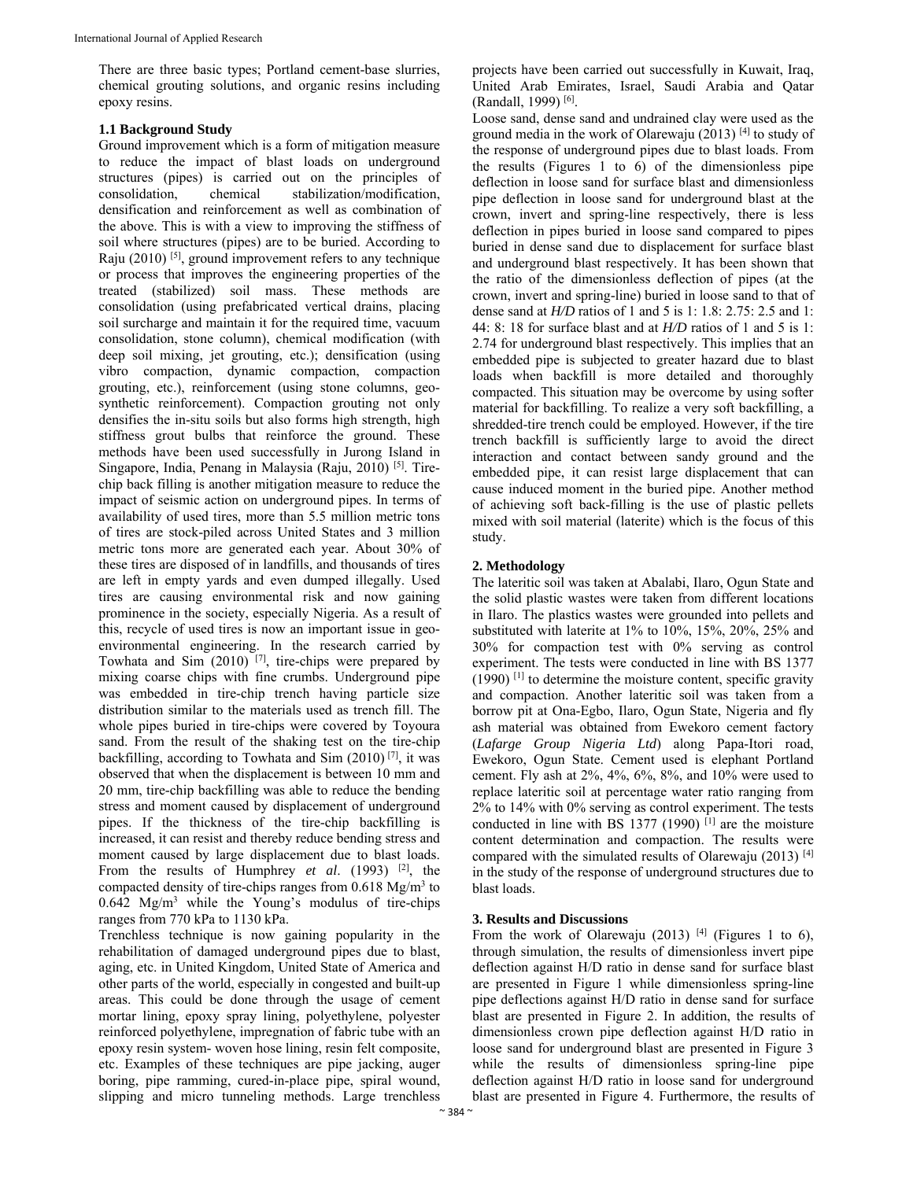There are three basic types; Portland cement-base slurries, chemical grouting solutions, and organic resins including epoxy resins.

## **1.1 Background Study**

Ground improvement which is a form of mitigation measure to reduce the impact of blast loads on underground structures (pipes) is carried out on the principles of consolidation, chemical stabilization/modification, densification and reinforcement as well as combination of the above. This is with a view to improving the stiffness of soil where structures (pipes) are to be buried. According to Raju  $(2010)$  <sup>[5]</sup>, ground improvement refers to any technique or process that improves the engineering properties of the treated (stabilized) soil mass. These methods are consolidation (using prefabricated vertical drains, placing soil surcharge and maintain it for the required time, vacuum consolidation, stone column), chemical modification (with deep soil mixing, jet grouting, etc.); densification (using vibro compaction, dynamic compaction, compaction grouting, etc.), reinforcement (using stone columns, geosynthetic reinforcement). Compaction grouting not only densifies the in-situ soils but also forms high strength, high stiffness grout bulbs that reinforce the ground. These methods have been used successfully in Jurong Island in Singapore, India, Penang in Malaysia (Raju, 2010) [5]. Tirechip back filling is another mitigation measure to reduce the impact of seismic action on underground pipes. In terms of availability of used tires, more than 5.5 million metric tons of tires are stock-piled across United States and 3 million metric tons more are generated each year. About 30% of these tires are disposed of in landfills, and thousands of tires are left in empty yards and even dumped illegally. Used tires are causing environmental risk and now gaining prominence in the society, especially Nigeria. As a result of this, recycle of used tires is now an important issue in geoenvironmental engineering. In the research carried by Towhata and Sim  $(2010)$  <sup>[7]</sup>, tire-chips were prepared by mixing coarse chips with fine crumbs. Underground pipe was embedded in tire-chip trench having particle size distribution similar to the materials used as trench fill. The whole pipes buried in tire-chips were covered by Toyoura sand. From the result of the shaking test on the tire-chip backfilling, according to Towhata and Sim  $(2010)^{77}$ , it was observed that when the displacement is between 10 mm and 20 mm, tire-chip backfilling was able to reduce the bending stress and moment caused by displacement of underground pipes. If the thickness of the tire-chip backfilling is increased, it can resist and thereby reduce bending stress and moment caused by large displacement due to blast loads. From the results of Humphrey *et al*. (1993) [2], the compacted density of tire-chips ranges from  $0.618 \text{ Mg/m}^3$  to  $0.642$  Mg/m<sup>3</sup> while the Young's modulus of tire-chips ranges from 770 kPa to 1130 kPa.

Trenchless technique is now gaining popularity in the rehabilitation of damaged underground pipes due to blast, aging, etc. in United Kingdom, United State of America and other parts of the world, especially in congested and built-up areas. This could be done through the usage of cement mortar lining, epoxy spray lining, polyethylene, polyester reinforced polyethylene, impregnation of fabric tube with an epoxy resin system- woven hose lining, resin felt composite, etc. Examples of these techniques are pipe jacking, auger boring, pipe ramming, cured-in-place pipe, spiral wound, slipping and micro tunneling methods. Large trenchless

projects have been carried out successfully in Kuwait, Iraq, United Arab Emirates, Israel, Saudi Arabia and Qatar (Randall, 1999) [6].

Loose sand, dense sand and undrained clay were used as the ground media in the work of Olarewaju (2013) [4] to study of the response of underground pipes due to blast loads. From the results (Figures 1 to 6) of the dimensionless pipe deflection in loose sand for surface blast and dimensionless pipe deflection in loose sand for underground blast at the crown, invert and spring-line respectively, there is less deflection in pipes buried in loose sand compared to pipes buried in dense sand due to displacement for surface blast and underground blast respectively. It has been shown that the ratio of the dimensionless deflection of pipes (at the crown, invert and spring-line) buried in loose sand to that of dense sand at *H/D* ratios of 1 and 5 is 1: 1.8: 2.75: 2.5 and 1: 44: 8: 18 for surface blast and at *H/D* ratios of 1 and 5 is 1: 2.74 for underground blast respectively. This implies that an embedded pipe is subjected to greater hazard due to blast loads when backfill is more detailed and thoroughly compacted. This situation may be overcome by using softer material for backfilling. To realize a very soft backfilling, a shredded-tire trench could be employed. However, if the tire trench backfill is sufficiently large to avoid the direct interaction and contact between sandy ground and the embedded pipe, it can resist large displacement that can cause induced moment in the buried pipe. Another method of achieving soft back-filling is the use of plastic pellets mixed with soil material (laterite) which is the focus of this study.

## **2. Methodology**

The lateritic soil was taken at Abalabi, Ilaro, Ogun State and the solid plastic wastes were taken from different locations in Ilaro. The plastics wastes were grounded into pellets and substituted with laterite at 1% to 10%, 15%, 20%, 25% and 30% for compaction test with 0% serving as control experiment. The tests were conducted in line with BS 1377  $(1990)$ <sup>[1]</sup> to determine the moisture content, specific gravity and compaction. Another lateritic soil was taken from a borrow pit at Ona-Egbo, Ilaro, Ogun State, Nigeria and fly ash material was obtained from Ewekoro cement factory (*Lafarge Group Nigeria Ltd*) along Papa-Itori road, Ewekoro, Ogun State. Cement used is elephant Portland cement. Fly ash at 2%, 4%, 6%, 8%, and 10% were used to replace lateritic soil at percentage water ratio ranging from 2% to 14% with 0% serving as control experiment. The tests conducted in line with BS 1377 (1990)  $[1]$  are the moisture content determination and compaction. The results were compared with the simulated results of Olarewaju (2013)  $[4]$ in the study of the response of underground structures due to blast loads.

#### **3. Results and Discussions**

From the work of Olarewaju (2013)  $[4]$  (Figures 1 to 6), through simulation, the results of dimensionless invert pipe deflection against H/D ratio in dense sand for surface blast are presented in Figure 1 while dimensionless spring-line pipe deflections against H/D ratio in dense sand for surface blast are presented in Figure 2. In addition, the results of dimensionless crown pipe deflection against H/D ratio in loose sand for underground blast are presented in Figure 3 while the results of dimensionless spring-line pipe deflection against H/D ratio in loose sand for underground blast are presented in Figure 4. Furthermore, the results of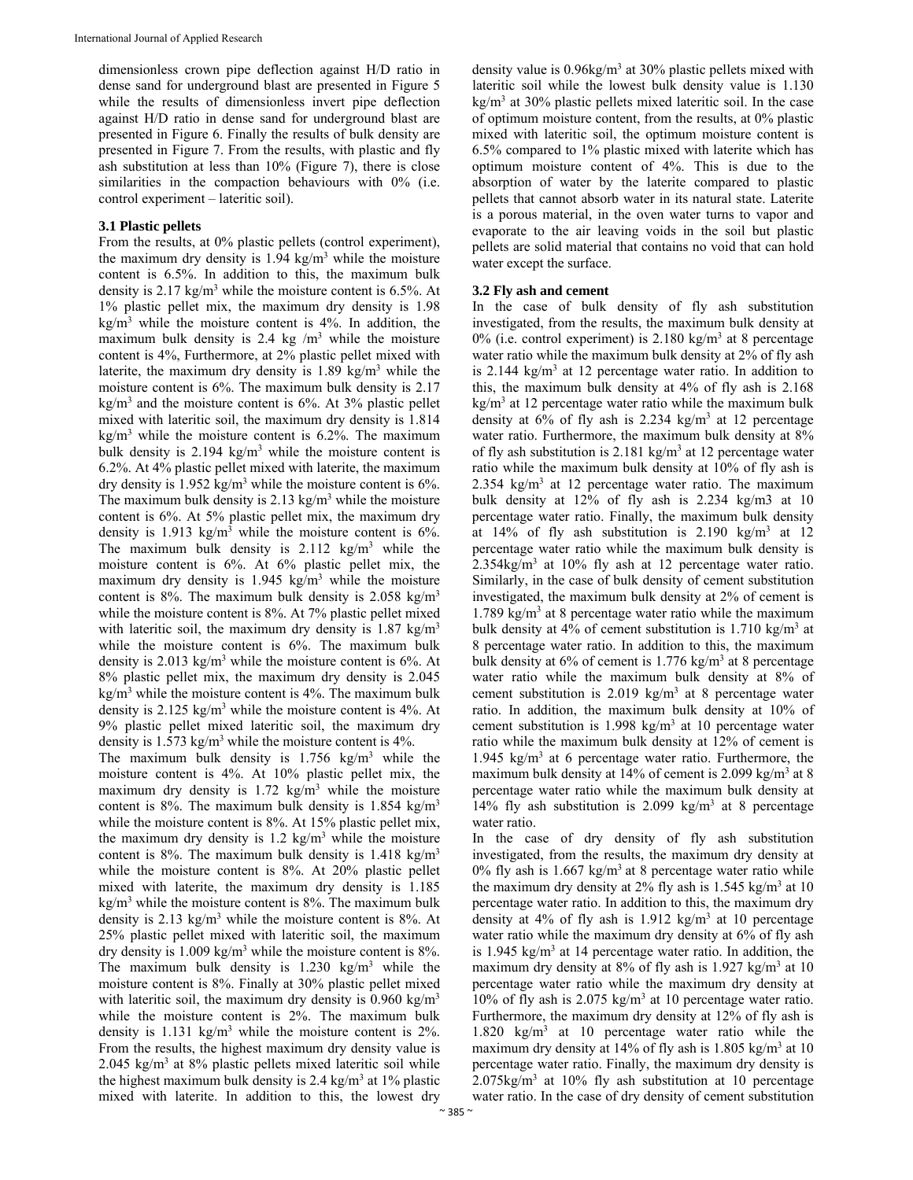dimensionless crown pipe deflection against H/D ratio in dense sand for underground blast are presented in Figure 5 while the results of dimensionless invert pipe deflection against H/D ratio in dense sand for underground blast are presented in Figure 6. Finally the results of bulk density are presented in Figure 7. From the results, with plastic and fly ash substitution at less than 10% (Figure 7), there is close similarities in the compaction behaviours with 0% (i.e. control experiment – lateritic soil).

#### **3.1 Plastic pellets**

From the results, at 0% plastic pellets (control experiment), the maximum dry density is  $1.94 \text{ kg/m}^3$  while the moisture content is 6.5%. In addition to this, the maximum bulk density is 2.17 kg/m<sup>3</sup> while the moisture content is 6.5%. At 1% plastic pellet mix, the maximum dry density is 1.98  $\text{kg/m}^3$  while the moisture content is 4%. In addition, the maximum bulk density is 2.4 kg  $/m<sup>3</sup>$  while the moisture content is 4%, Furthermore, at 2% plastic pellet mixed with laterite, the maximum dry density is  $1.89 \text{ kg/m}^3$  while the moisture content is 6%. The maximum bulk density is 2.17  $\text{kg/m}^3$  and the moisture content is 6%. At 3% plastic pellet mixed with lateritic soil, the maximum dry density is 1.814 kg/m<sup>3</sup> while the moisture content is 6.2%. The maximum bulk density is  $2.194 \text{ kg/m}^3$  while the moisture content is 6.2%. At 4% plastic pellet mixed with laterite, the maximum dry density is  $1.952 \text{ kg/m}^3$  while the moisture content is 6%. The maximum bulk density is  $2.13 \text{ kg/m}^3$  while the moisture content is 6%. At 5% plastic pellet mix, the maximum dry density is 1.913 kg/m<sup>3</sup> while the moisture content is  $6\%$ . The maximum bulk density is  $2.112 \text{ kg/m}^3$  while the moisture content is 6%. At 6% plastic pellet mix, the maximum dry density is  $1.945 \text{ kg/m}^3$  while the moisture content is 8%. The maximum bulk density is 2.058 kg/m3 while the moisture content is 8%. At 7% plastic pellet mixed with lateritic soil, the maximum dry density is  $1.87 \text{ kg/m}^3$ while the moisture content is 6%. The maximum bulk density is  $2.013 \text{ kg/m}^3$  while the moisture content is 6%. At 8% plastic pellet mix, the maximum dry density is 2.045  $\text{kg/m}^3$  while the moisture content is 4%. The maximum bulk density is 2.125 kg/m<sup>3</sup> while the moisture content is  $4\%$ . At 9% plastic pellet mixed lateritic soil, the maximum dry density is  $1.573 \text{ kg/m}^3$  while the moisture content is 4%.

The maximum bulk density is  $1.756 \text{ kg/m}^3$  while the moisture content is 4%. At 10% plastic pellet mix, the maximum dry density is  $1.72 \text{ kg/m}^3$  while the moisture content is 8%. The maximum bulk density is 1.854 kg/m<sup>3</sup> while the moisture content is 8%. At 15% plastic pellet mix, the maximum dry density is  $1.2 \text{ kg/m}^3$  while the moisture content is 8%. The maximum bulk density is  $1.418 \text{ kg/m}^3$ while the moisture content is 8%. At 20% plastic pellet mixed with laterite, the maximum dry density is 1.185  $\text{kg/m}^3$  while the moisture content is 8%. The maximum bulk density is 2.13  $\text{kg/m}^3$  while the moisture content is 8%. At 25% plastic pellet mixed with lateritic soil, the maximum dry density is  $1.009 \text{ kg/m}^3$  while the moisture content is  $8\%$ . The maximum bulk density is  $1.230 \text{ kg/m}^3$  while the moisture content is 8%. Finally at 30% plastic pellet mixed with lateritic soil, the maximum dry density is  $0.960 \text{ kg/m}^3$ while the moisture content is 2%. The maximum bulk density is 1.131 kg/m<sup>3</sup> while the moisture content is 2%. From the results, the highest maximum dry density value is  $2.045$  kg/m<sup>3</sup> at 8% plastic pellets mixed lateritic soil while the highest maximum bulk density is 2.4 kg/m<sup>3</sup> at 1% plastic mixed with laterite. In addition to this, the lowest dry

density value is 0.96kg/m<sup>3</sup> at 30% plastic pellets mixed with lateritic soil while the lowest bulk density value is 1.130 kg/m<sup>3</sup> at 30% plastic pellets mixed lateritic soil. In the case of optimum moisture content, from the results, at 0% plastic mixed with lateritic soil, the optimum moisture content is 6.5% compared to 1% plastic mixed with laterite which has optimum moisture content of 4%. This is due to the absorption of water by the laterite compared to plastic pellets that cannot absorb water in its natural state. Laterite is a porous material, in the oven water turns to vapor and evaporate to the air leaving voids in the soil but plastic pellets are solid material that contains no void that can hold water except the surface.

## **3.2 Fly ash and cement**

In the case of bulk density of fly ash substitution investigated, from the results, the maximum bulk density at 0% (i.e. control experiment) is  $2.180 \text{ kg/m}^3$  at 8 percentage water ratio while the maximum bulk density at 2% of fly ash is 2.144  $\text{kg/m}^3$  at 12 percentage water ratio. In addition to this, the maximum bulk density at 4% of fly ash is 2.168 kg/m<sup>3</sup> at 12 percentage water ratio while the maximum bulk density at  $6\%$  of fly ash is 2.234 kg/m<sup>3</sup> at 12 percentage water ratio. Furthermore, the maximum bulk density at 8% of fly ash substitution is  $2.181 \text{ kg/m}^3$  at 12 percentage water ratio while the maximum bulk density at 10% of fly ash is 2.354  $\text{kg/m}^3$  at 12 percentage water ratio. The maximum bulk density at 12% of fly ash is 2.234 kg/m3 at 10 percentage water ratio. Finally, the maximum bulk density at  $14\%$  of fly ash substitution is 2.190 kg/m<sup>3</sup> at 12 percentage water ratio while the maximum bulk density is  $2.354\text{kg/m}^3$  at 10% fly ash at 12 percentage water ratio. Similarly, in the case of bulk density of cement substitution investigated, the maximum bulk density at 2% of cement is 1.789 kg/m3 at 8 percentage water ratio while the maximum bulk density at 4% of cement substitution is  $1.710 \text{ kg/m}^3$  at 8 percentage water ratio. In addition to this, the maximum bulk density at  $6\%$  of cement is 1.776 kg/m<sup>3</sup> at 8 percentage water ratio while the maximum bulk density at 8% of cement substitution is 2.019  $\text{kg/m}^3$  at 8 percentage water ratio. In addition, the maximum bulk density at 10% of cement substitution is  $1.998 \text{ kg/m}^3$  at 10 percentage water ratio while the maximum bulk density at 12% of cement is 1.945  $\text{kg/m}^3$  at 6 percentage water ratio. Furthermore, the maximum bulk density at  $14\%$  of cement is 2.099 kg/m<sup>3</sup> at 8 percentage water ratio while the maximum bulk density at 14% fly ash substitution is 2.099 kg/m<sup>3</sup> at 8 percentage water ratio.

In the case of dry density of fly ash substitution investigated, from the results, the maximum dry density at 0% fly ash is  $1.667 \text{ kg/m}^3$  at 8 percentage water ratio while the maximum dry density at  $2\%$  fly ash is 1.545 kg/m<sup>3</sup> at 10 percentage water ratio. In addition to this, the maximum dry density at  $4\%$  of fly ash is 1.912 kg/m<sup>3</sup> at 10 percentage water ratio while the maximum dry density at 6% of fly ash is 1.945 kg/ $m<sup>3</sup>$  at 14 percentage water ratio. In addition, the maximum dry density at 8% of fly ash is 1.927 kg/m<sup>3</sup> at 10 percentage water ratio while the maximum dry density at 10% of fly ash is 2.075 kg/m<sup>3</sup> at 10 percentage water ratio. Furthermore, the maximum dry density at 12% of fly ash is 1.820 kg/m3 at 10 percentage water ratio while the maximum dry density at 14% of fly ash is 1.805 kg/m<sup>3</sup> at 10 percentage water ratio. Finally, the maximum dry density is  $2.075\text{kg/m}^3$  at 10% fly ash substitution at 10 percentage water ratio. In the case of dry density of cement substitution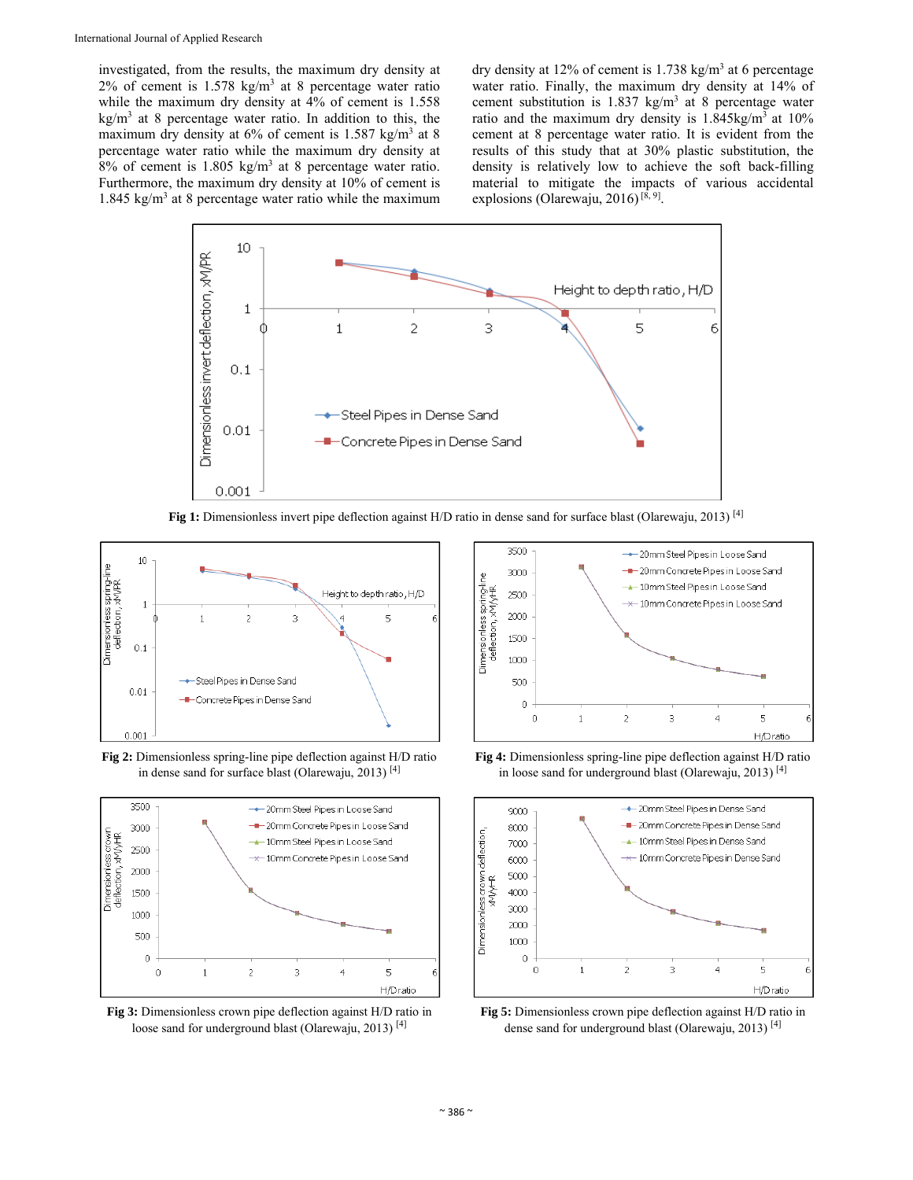investigated, from the results, the maximum dry density at 2% of cement is  $1.578 \text{ kg/m}^3$  at 8 percentage water ratio while the maximum dry density at 4% of cement is 1.558  $\text{kg/m}^3$  at 8 percentage water ratio. In addition to this, the maximum dry density at  $6\%$  of cement is 1.587 kg/m<sup>3</sup> at 8 percentage water ratio while the maximum dry density at  $8\%$  of cement is 1.805 kg/m<sup>3</sup> at 8 percentage water ratio. Furthermore, the maximum dry density at 10% of cement is 1.845 kg/ $m<sup>3</sup>$  at 8 percentage water ratio while the maximum

dry density at 12% of cement is  $1.738 \text{ kg/m}^3$  at 6 percentage water ratio. Finally, the maximum dry density at 14% of cement substitution is  $1.837 \text{ kg/m}^3$  at 8 percentage water ratio and the maximum dry density is  $1.845 \text{kg/m}^3$  at  $10\%$ cement at 8 percentage water ratio. It is evident from the results of this study that at 30% plastic substitution, the density is relatively low to achieve the soft back-filling material to mitigate the impacts of various accidental explosions (Olarewaju, 2016)<sup>[ $8, 9$ ]</sup>.



**Fig 1:** Dimensionless invert pipe deflection against H/D ratio in dense sand for surface blast (Olarewaju, 2013) [4]



**Fig 2:** Dimensionless spring-line pipe deflection against H/D ratio in dense sand for surface blast (Olarewaju, 2013)<sup>[4]</sup>







**Fig 4:** Dimensionless spring-line pipe deflection against H/D ratio in loose sand for underground blast (Olarewaju, 2013)<sup>[4]</sup>